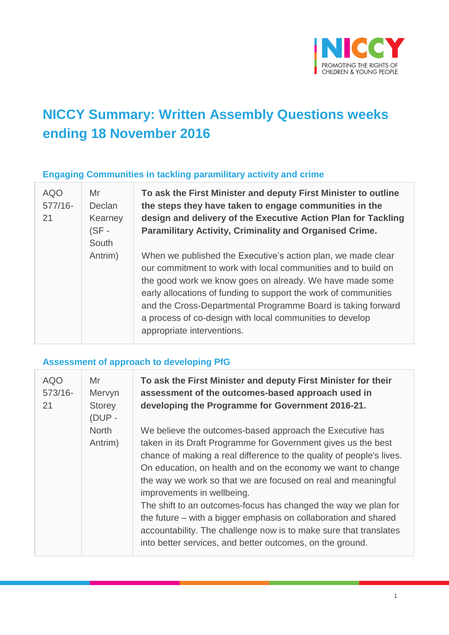

# **NICCY Summary: Written Assembly Questions weeks ending 18 November 2016**

#### **Engaging Communities in tackling paramilitary activity and crime**

| <b>AQO</b> | Mr      | To ask the F        |
|------------|---------|---------------------|
| 577/16-    | Declan  | the steps th        |
| 21         | Kearney | design and          |
|            | $(SF -$ | <b>Paramilitary</b> |
|            | South   |                     |
|            | Antrim) | When we pul         |
|            |         | our commitm         |
|            |         | the good wor        |
|            |         | early allocation    |
|            |         | and the Cros        |
|            |         | a process of        |
|            |         | appropriate i       |

**First Minister and deputy First Minister to outline the steps they have taken to engage communities in the design and delivery of the Executive Action Plan for Tackling Paramilitary Activity, Criminality and Organised Crime.**

blished the Executive's action plan, we made clear nent to work with local communities and to build on rk we know goes on already. We have made some ons of funding to support the work of communities s-Departmental Programme Board is taking forward co-design with local communities to develop nterventions.

### **Assessment of approach to developing PfG**

| <b>AQO</b><br>$573/16-$<br>21 | Mr<br>Mervyn<br><b>Storey</b><br>(DUP - | To ask the First Minister and deputy First Minister for their<br>assessment of the outcomes-based approach used in<br>developing the Programme for Government 2016-21.                                                                                                                                                                                                                                                                                                                                                                                                                                                                  |
|-------------------------------|-----------------------------------------|-----------------------------------------------------------------------------------------------------------------------------------------------------------------------------------------------------------------------------------------------------------------------------------------------------------------------------------------------------------------------------------------------------------------------------------------------------------------------------------------------------------------------------------------------------------------------------------------------------------------------------------------|
|                               | <b>North</b><br>Antrim)                 | We believe the outcomes-based approach the Executive has<br>taken in its Draft Programme for Government gives us the best<br>chance of making a real difference to the quality of people's lives.<br>On education, on health and on the economy we want to change<br>the way we work so that we are focused on real and meaningful<br>improvements in wellbeing.<br>The shift to an outcomes-focus has changed the way we plan for<br>the future – with a bigger emphasis on collaboration and shared<br>accountability. The challenge now is to make sure that translates<br>into better services, and better outcomes, on the ground. |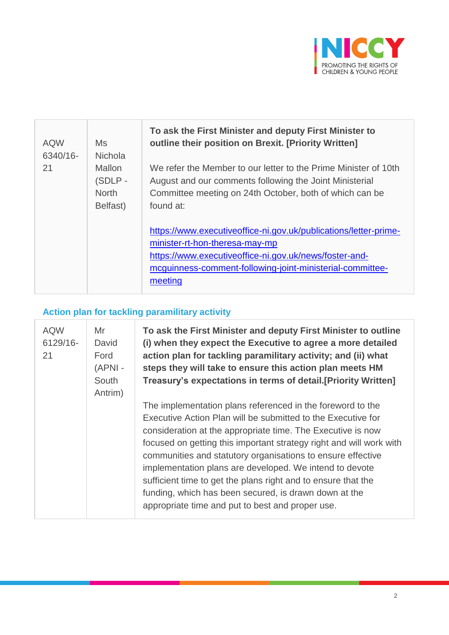

| <b>AQW</b><br>6340/16- | <b>Ms</b><br><b>Nichola</b>                         | To ask the First Minister and deputy First Minister to<br>outline their position on Brexit. [Priority Written]                                                                                                                       |
|------------------------|-----------------------------------------------------|--------------------------------------------------------------------------------------------------------------------------------------------------------------------------------------------------------------------------------------|
| 21                     | <b>Mallon</b><br>(SDLP-<br><b>North</b><br>Belfast) | We refer the Member to our letter to the Prime Minister of 10th<br>August and our comments following the Joint Ministerial<br>Committee meeting on 24th October, both of which can be<br>found at:                                   |
|                        |                                                     | https://www.executiveoffice-ni.gov.uk/publications/letter-prime-<br>minister-rt-hon-theresa-may-mp<br>https://www.executiveoffice-ni.gov.uk/news/foster-and-<br>mcguinness-comment-following-joint-ministerial-committee-<br>meeting |

## **Action plan for tackling paramilitary activity**

| <b>AQW</b><br>6129/16-<br>21 | Mr<br>David<br>Ford<br>(APNI-<br>South<br>Antrim) | To ask the First Minister and deputy First Minister to outline<br>(i) when they expect the Executive to agree a more detailed<br>action plan for tackling paramilitary activity; and (ii) what<br>steps they will take to ensure this action plan meets HM<br>Treasury's expectations in terms of detail. [Priority Written]                                                                                                                                                                                                                                             |
|------------------------------|---------------------------------------------------|--------------------------------------------------------------------------------------------------------------------------------------------------------------------------------------------------------------------------------------------------------------------------------------------------------------------------------------------------------------------------------------------------------------------------------------------------------------------------------------------------------------------------------------------------------------------------|
|                              |                                                   | The implementation plans referenced in the foreword to the<br>Executive Action Plan will be submitted to the Executive for<br>consideration at the appropriate time. The Executive is now<br>focused on getting this important strategy right and will work with<br>communities and statutory organisations to ensure effective<br>implementation plans are developed. We intend to devote<br>sufficient time to get the plans right and to ensure that the<br>funding, which has been secured, is drawn down at the<br>appropriate time and put to best and proper use. |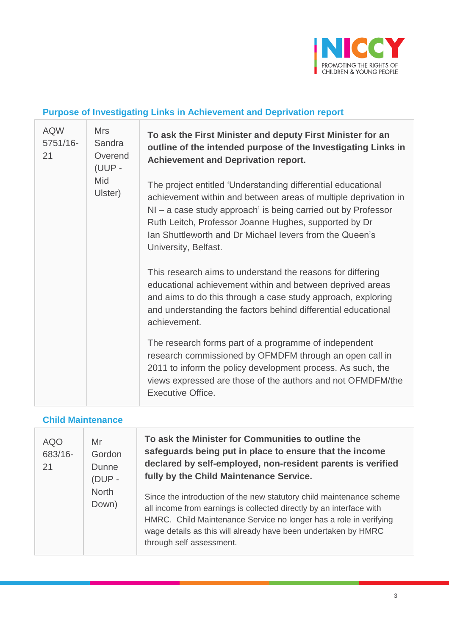

## **Purpose of Investigating Links in Achievement and Deprivation report**

| <b>AQW</b><br>5751/16-<br>21 | <b>Mrs</b><br>Sandra<br>Overend<br>(UUP - | To ask the First Minister and deputy First Minister for an<br>outline of the intended purpose of the Investigating Links in<br><b>Achievement and Deprivation report.</b>                                                                                                                                                                      |
|------------------------------|-------------------------------------------|------------------------------------------------------------------------------------------------------------------------------------------------------------------------------------------------------------------------------------------------------------------------------------------------------------------------------------------------|
|                              | Mid<br>Ulster)                            | The project entitled 'Understanding differential educational<br>achievement within and between areas of multiple deprivation in<br>$NI - a$ case study approach' is being carried out by Professor<br>Ruth Leitch, Professor Joanne Hughes, supported by Dr<br>Ian Shuttleworth and Dr Michael levers from the Queen's<br>University, Belfast. |
|                              |                                           | This research aims to understand the reasons for differing<br>educational achievement within and between deprived areas<br>and aims to do this through a case study approach, exploring<br>and understanding the factors behind differential educational<br>achievement.                                                                       |
|                              |                                           | The research forms part of a programme of independent<br>research commissioned by OFMDFM through an open call in<br>2011 to inform the policy development process. As such, the<br>views expressed are those of the authors and not OFMDFM/the<br><b>Executive Office.</b>                                                                     |

### **Child Maintenance**

| <b>AQO</b><br>683/16-<br>21 | Mr<br>Gordon<br><b>Dunne</b><br>$(DUP -$ | To ask the Minister for Communities to outline the<br>safeguards being put in place to ensure that the income<br>declared by self-employed, non-resident parents is verified<br>fully by the Child Maintenance Service.                                                                                        |
|-----------------------------|------------------------------------------|----------------------------------------------------------------------------------------------------------------------------------------------------------------------------------------------------------------------------------------------------------------------------------------------------------------|
|                             | <b>North</b><br>Down)                    | Since the introduction of the new statutory child maintenance scheme<br>all income from earnings is collected directly by an interface with<br>HMRC. Child Maintenance Service no longer has a role in verifying<br>wage details as this will already have been undertaken by HMRC<br>through self assessment. |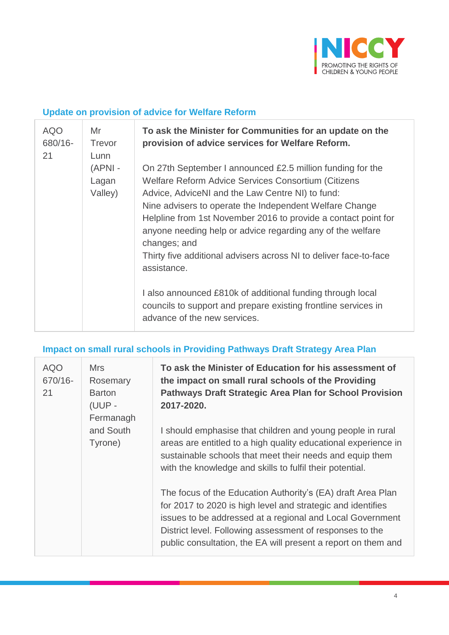

### **Update on provision of advice for Welfare Reform**

| <b>AQO</b><br>680/16-<br>21 | Mr<br><b>Trevor</b><br>Lunn | To ask the Minister for Communities for an update on the<br>provision of advice services for Welfare Reform.                                                                                                                                                                                                                                                                                                                                                                                                                                                                                         |
|-----------------------------|-----------------------------|------------------------------------------------------------------------------------------------------------------------------------------------------------------------------------------------------------------------------------------------------------------------------------------------------------------------------------------------------------------------------------------------------------------------------------------------------------------------------------------------------------------------------------------------------------------------------------------------------|
|                             | (APNI -<br>Lagan<br>Valley) | On 27th September I announced £2.5 million funding for the<br>Welfare Reform Advice Services Consortium (Citizens<br>Advice, AdviceNI and the Law Centre NI) to fund:<br>Nine advisers to operate the Independent Welfare Change<br>Helpline from 1st November 2016 to provide a contact point for<br>anyone needing help or advice regarding any of the welfare<br>changes; and<br>Thirty five additional advisers across NI to deliver face-to-face<br>assistance.<br>I also announced £810k of additional funding through local<br>councils to support and prepare existing frontline services in |
|                             |                             | advance of the new services.                                                                                                                                                                                                                                                                                                                                                                                                                                                                                                                                                                         |

### **Impact on small rural schools in Providing Pathways Draft Strategy Area Plan**

| <b>AQO</b><br>670/16-<br>21 | <b>Mrs</b><br>Rosemary<br><b>Barton</b><br>(UUP -<br>Fermanagh | To ask the Minister of Education for his assessment of<br>the impact on small rural schools of the Providing<br><b>Pathways Draft Strategic Area Plan for School Provision</b><br>2017-2020.                                                                                                                         |
|-----------------------------|----------------------------------------------------------------|----------------------------------------------------------------------------------------------------------------------------------------------------------------------------------------------------------------------------------------------------------------------------------------------------------------------|
|                             | and South<br>Tyrone)                                           | I should emphasise that children and young people in rural<br>areas are entitled to a high quality educational experience in<br>sustainable schools that meet their needs and equip them<br>with the knowledge and skills to fulfil their potential.                                                                 |
|                             |                                                                | The focus of the Education Authority's (EA) draft Area Plan<br>for 2017 to 2020 is high level and strategic and identifies<br>issues to be addressed at a regional and Local Government<br>District level. Following assessment of responses to the<br>public consultation, the EA will present a report on them and |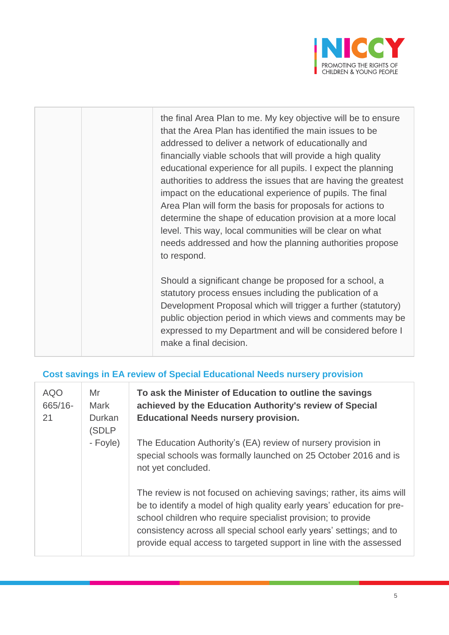

the final Area Plan to me. My key objective will be to ensure that the Area Plan has identified the main issues to be addressed to deliver a network of educationally and financially viable schools that will provide a high quality educational experience for all pupils. I expect the planning authorities to address the issues that are having the greatest impact on the educational experience of pupils. The final Area Plan will form the basis for proposals for actions to determine the shape of education provision at a more local level. This way, local communities will be clear on what needs addressed and how the planning authorities propose to respond.

Should a significant change be proposed for a school, a statutory process ensues including the publication of a Development Proposal which will trigger a further (statutory) public objection period in which views and comments may be expressed to my Department and will be considered before I make a final decision.

### **Cost savings in EA review of Special Educational Needs nursery provision**

| <b>AQO</b><br>665/16-<br>21 | Mr<br><b>Mark</b><br><b>Durkan</b><br>(SDLP<br>- Foyle) | To as<br>achie <sup>®</sup><br><b>Educa</b><br>The E |
|-----------------------------|---------------------------------------------------------|------------------------------------------------------|
|                             |                                                         | specia<br>not ye                                     |
|                             |                                                         | The re<br>be to i<br>schoo<br>consis<br>provid       |

**To ask the Minister of Education to outline the savings achieved by the Education Authority's review of Special Educational Needs nursery provision.**

ducation Authority's (EA) review of nursery provision in al schools was formally launched on 25 October 2016 and is t concluded.

eview is not focused on achieving savings; rather, its aims will identify a model of high quality early years' education for pre-I children who require specialist provision; to provide stency across all special school early years' settings; and to e equal access to targeted support in line with the assessed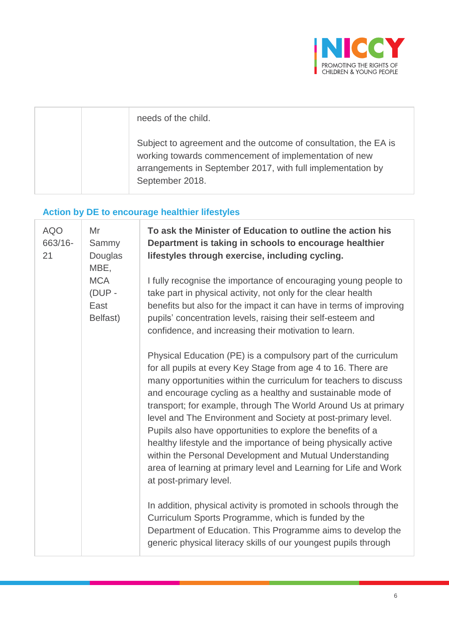

|  | needs of the child.                                                                                                                                                                                        |
|--|------------------------------------------------------------------------------------------------------------------------------------------------------------------------------------------------------------|
|  | Subject to agreement and the outcome of consultation, the EA is<br>working towards commencement of implementation of new<br>arrangements in September 2017, with full implementation by<br>September 2018. |

### **Action by DE to encourage healthier lifestyles**

T

| <b>AQO</b><br>663/16-<br>21 | Mr<br>Sammy<br>Douglas<br>MBE,           | To ask the Minister of Education to outline the action his<br>Department is taking in schools to encourage healthier<br>lifestyles through exercise, including cycling.                                                                                                                                                                                                                                                                                                                                                                                                                                                                                                                         |
|-----------------------------|------------------------------------------|-------------------------------------------------------------------------------------------------------------------------------------------------------------------------------------------------------------------------------------------------------------------------------------------------------------------------------------------------------------------------------------------------------------------------------------------------------------------------------------------------------------------------------------------------------------------------------------------------------------------------------------------------------------------------------------------------|
|                             | <b>MCA</b><br>(DUP -<br>East<br>Belfast) | I fully recognise the importance of encouraging young people to<br>take part in physical activity, not only for the clear health<br>benefits but also for the impact it can have in terms of improving<br>pupils' concentration levels, raising their self-esteem and<br>confidence, and increasing their motivation to learn.                                                                                                                                                                                                                                                                                                                                                                  |
|                             |                                          | Physical Education (PE) is a compulsory part of the curriculum<br>for all pupils at every Key Stage from age 4 to 16. There are<br>many opportunities within the curriculum for teachers to discuss<br>and encourage cycling as a healthy and sustainable mode of<br>transport; for example, through The World Around Us at primary<br>level and The Environment and Society at post-primary level.<br>Pupils also have opportunities to explore the benefits of a<br>healthy lifestyle and the importance of being physically active<br>within the Personal Development and Mutual Understanding<br>area of learning at primary level and Learning for Life and Work<br>at post-primary level. |
|                             |                                          | In addition, physical activity is promoted in schools through the<br>Curriculum Sports Programme, which is funded by the<br>Department of Education. This Programme aims to develop the<br>generic physical literacy skills of our youngest pupils through                                                                                                                                                                                                                                                                                                                                                                                                                                      |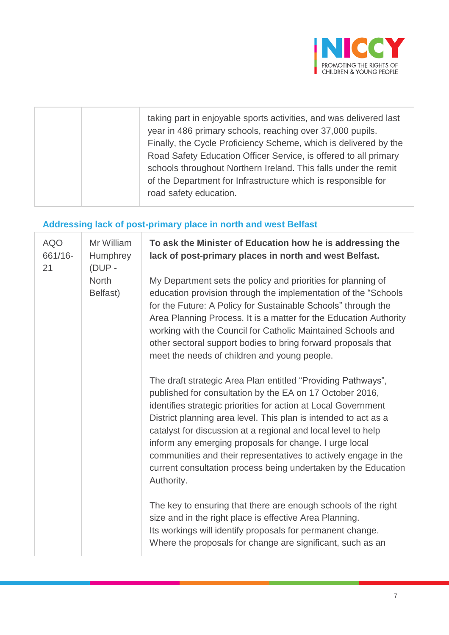

| road safety education. | taking part in enjoyable sports activities, and was delivered last<br>year in 486 primary schools, reaching over 37,000 pupils.<br>Finally, the Cycle Proficiency Scheme, which is delivered by the<br>Road Safety Education Officer Service, is offered to all primary<br>schools throughout Northern Ireland. This falls under the remit<br>of the Department for Infrastructure which is responsible for |
|------------------------|-------------------------------------------------------------------------------------------------------------------------------------------------------------------------------------------------------------------------------------------------------------------------------------------------------------------------------------------------------------------------------------------------------------|
|------------------------|-------------------------------------------------------------------------------------------------------------------------------------------------------------------------------------------------------------------------------------------------------------------------------------------------------------------------------------------------------------------------------------------------------------|

## **Addressing lack of post-primary place in north and west Belfast**

| <b>AQO</b><br>661/16-<br>21 | Mr William<br>Humphrey<br>$(DUP -$ | To ask the Minister of Education how he is addressing the<br>lack of post-primary places in north and west Belfast.                                                                                                                                                                                                                                                                                                                                                                                                                         |
|-----------------------------|------------------------------------|---------------------------------------------------------------------------------------------------------------------------------------------------------------------------------------------------------------------------------------------------------------------------------------------------------------------------------------------------------------------------------------------------------------------------------------------------------------------------------------------------------------------------------------------|
|                             | <b>North</b><br>Belfast)           | My Department sets the policy and priorities for planning of<br>education provision through the implementation of the "Schools"<br>for the Future: A Policy for Sustainable Schools" through the<br>Area Planning Process. It is a matter for the Education Authority<br>working with the Council for Catholic Maintained Schools and<br>other sectoral support bodies to bring forward proposals that<br>meet the needs of children and young people.                                                                                      |
|                             |                                    | The draft strategic Area Plan entitled "Providing Pathways",<br>published for consultation by the EA on 17 October 2016,<br>identifies strategic priorities for action at Local Government<br>District planning area level. This plan is intended to act as a<br>catalyst for discussion at a regional and local level to help<br>inform any emerging proposals for change. I urge local<br>communities and their representatives to actively engage in the<br>current consultation process being undertaken by the Education<br>Authority. |
|                             |                                    | The key to ensuring that there are enough schools of the right<br>size and in the right place is effective Area Planning.<br>Its workings will identify proposals for permanent change.<br>Where the proposals for change are significant, such as an                                                                                                                                                                                                                                                                                       |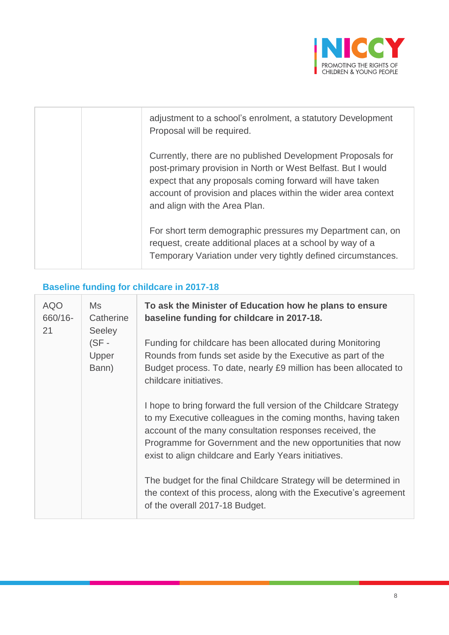

| adjustment to a school's enrolment, a statutory Development<br>Proposal will be required.                                                                                                                                                                                                 |
|-------------------------------------------------------------------------------------------------------------------------------------------------------------------------------------------------------------------------------------------------------------------------------------------|
| Currently, there are no published Development Proposals for<br>post-primary provision in North or West Belfast. But I would<br>expect that any proposals coming forward will have taken<br>account of provision and places within the wider area context<br>and align with the Area Plan. |
| For short term demographic pressures my Department can, on<br>request, create additional places at a school by way of a<br>Temporary Variation under very tightly defined circumstances.                                                                                                  |

## **Baseline funding for childcare in 2017-18**

| <b>AQO</b><br>660/16-<br>21 | Ms.<br>Catherine<br><b>Seeley</b> | To ask the Minister of Education how he plans to ensure<br>baseline funding for childcare in 2017-18.                                                                                                                                                                                                                   |
|-----------------------------|-----------------------------------|-------------------------------------------------------------------------------------------------------------------------------------------------------------------------------------------------------------------------------------------------------------------------------------------------------------------------|
|                             | $(SF -$<br>Upper<br>Bann)         | Funding for childcare has been allocated during Monitoring<br>Rounds from funds set aside by the Executive as part of the<br>Budget process. To date, nearly £9 million has been allocated to<br>childcare initiatives.                                                                                                 |
|                             |                                   | I hope to bring forward the full version of the Childcare Strategy<br>to my Executive colleagues in the coming months, having taken<br>account of the many consultation responses received, the<br>Programme for Government and the new opportunities that now<br>exist to align childcare and Early Years initiatives. |
|                             |                                   | The budget for the final Childcare Strategy will be determined in<br>the context of this process, along with the Executive's agreement<br>of the overall 2017-18 Budget.                                                                                                                                                |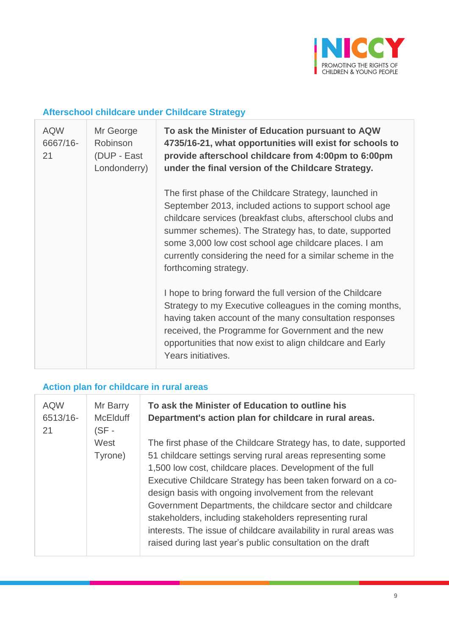

### **Afterschool childcare under Childcare Strategy**

| <b>AQW</b><br>6667/16-<br>21 | Mr George<br><b>Robinson</b><br>(DUP - East<br>Londonderry) | To ask the Minister of Education pursuant to AQW<br>4735/16-21, what opportunities will exist for schools to<br>provide afterschool childcare from 4:00pm to 6:00pm<br>under the final version of the Childcare Strategy.                                                                                                                                                               |
|------------------------------|-------------------------------------------------------------|-----------------------------------------------------------------------------------------------------------------------------------------------------------------------------------------------------------------------------------------------------------------------------------------------------------------------------------------------------------------------------------------|
|                              |                                                             | The first phase of the Childcare Strategy, launched in<br>September 2013, included actions to support school age<br>childcare services (breakfast clubs, afterschool clubs and<br>summer schemes). The Strategy has, to date, supported<br>some 3,000 low cost school age childcare places. I am<br>currently considering the need for a similar scheme in the<br>forthcoming strategy. |
|                              |                                                             | I hope to bring forward the full version of the Childcare<br>Strategy to my Executive colleagues in the coming months,<br>having taken account of the many consultation responses<br>received, the Programme for Government and the new<br>opportunities that now exist to align childcare and Early<br>Years initiatives.                                                              |

## **Action plan for childcare in rural areas**

| <b>AQW</b><br>6513/16-<br>21 | Mr Barry<br><b>McElduff</b><br>$(SF -$ | To ask the Minister of Education to outline his<br>Department's action plan for childcare in rural areas.                                                                                                                                                                                                                                                                                                                                                                                                                                                                            |
|------------------------------|----------------------------------------|--------------------------------------------------------------------------------------------------------------------------------------------------------------------------------------------------------------------------------------------------------------------------------------------------------------------------------------------------------------------------------------------------------------------------------------------------------------------------------------------------------------------------------------------------------------------------------------|
|                              | West<br>Tyrone)                        | The first phase of the Childcare Strategy has, to date, supported<br>51 childcare settings serving rural areas representing some<br>1,500 low cost, childcare places. Development of the full<br>Executive Childcare Strategy has been taken forward on a co-<br>design basis with ongoing involvement from the relevant<br>Government Departments, the childcare sector and childcare<br>stakeholders, including stakeholders representing rural<br>interests. The issue of childcare availability in rural areas was<br>raised during last year's public consultation on the draft |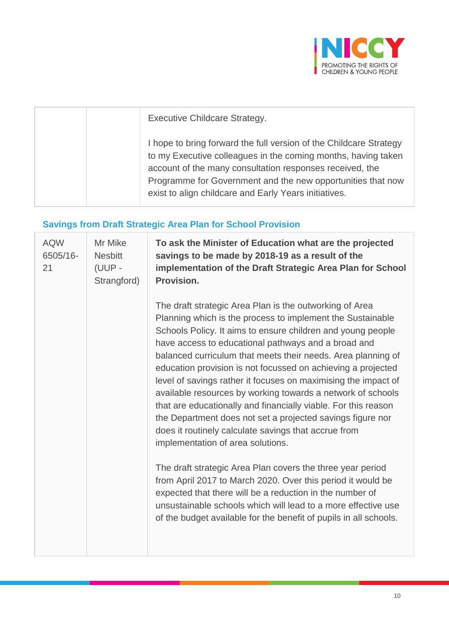

| <b>Executive Childcare Strategy.</b>                                                                                                                                                                                                                                                                                    |
|-------------------------------------------------------------------------------------------------------------------------------------------------------------------------------------------------------------------------------------------------------------------------------------------------------------------------|
| I hope to bring forward the full version of the Childcare Strategy<br>to my Executive colleagues in the coming months, having taken<br>account of the many consultation responses received, the<br>Programme for Government and the new opportunities that now<br>exist to align childcare and Early Years initiatives. |

## **Savings from Draft Strategic Area Plan for School Provision**

| Mr Mike<br><b>Nesbitt</b><br>(UUP -<br>Strangford) | To ask the Minister of Education what are the projected<br>savings to be made by 2018-19 as a result of the<br>implementation of the Draft Strategic Area Plan for School                                                                                                                                                                                                                                                                                                                                                                                                                                                                                                                                                                                                                                                                                                                                                                                                                                                                                                |
|----------------------------------------------------|--------------------------------------------------------------------------------------------------------------------------------------------------------------------------------------------------------------------------------------------------------------------------------------------------------------------------------------------------------------------------------------------------------------------------------------------------------------------------------------------------------------------------------------------------------------------------------------------------------------------------------------------------------------------------------------------------------------------------------------------------------------------------------------------------------------------------------------------------------------------------------------------------------------------------------------------------------------------------------------------------------------------------------------------------------------------------|
|                                                    | The draft strategic Area Plan is the outworking of Area<br>Planning which is the process to implement the Sustainable<br>Schools Policy. It aims to ensure children and young people<br>have access to educational pathways and a broad and<br>balanced curriculum that meets their needs. Area planning of<br>education provision is not focussed on achieving a projected<br>level of savings rather it focuses on maximising the impact of<br>available resources by working towards a network of schools<br>that are educationally and financially viable. For this reason<br>the Department does not set a projected savings figure nor<br>does it routinely calculate savings that accrue from<br>implementation of area solutions.<br>The draft strategic Area Plan covers the three year period<br>from April 2017 to March 2020. Over this period it would be<br>expected that there will be a reduction in the number of<br>unsustainable schools which will lead to a more effective use<br>of the budget available for the benefit of pupils in all schools. |
|                                                    | Provision.                                                                                                                                                                                                                                                                                                                                                                                                                                                                                                                                                                                                                                                                                                                                                                                                                                                                                                                                                                                                                                                               |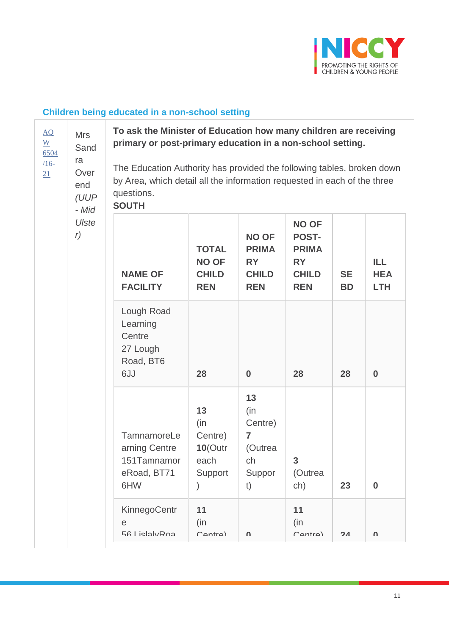

## **Children being educated in a non-school setting**

| $\underline{AO}$<br>$\underline{W}$<br>6504 | <b>Mrs</b><br>Sand<br>ra     | To ask the Minister of Education how many children are receiving<br>primary or post-primary education in a non-school setting. |                                                            |                                                                                                                                                                                                                                                                                                                                                                                                                                                                                                                                                                |                     |                |   |  |  |
|---------------------------------------------|------------------------------|--------------------------------------------------------------------------------------------------------------------------------|------------------------------------------------------------|----------------------------------------------------------------------------------------------------------------------------------------------------------------------------------------------------------------------------------------------------------------------------------------------------------------------------------------------------------------------------------------------------------------------------------------------------------------------------------------------------------------------------------------------------------------|---------------------|----------------|---|--|--|
| $16-$<br>21                                 | Over<br>end<br>(UUP<br>- Mid | questions.<br><b>SOUTH</b>                                                                                                     |                                                            | The Education Authority has provided the following tables, broken down<br>by Area, which detail all the information requested in each of the three<br><b>NO OF</b><br><b>NO OF</b><br><b>POST-</b><br><b>PRIMA</b><br><b>PRIMA</b><br>ILL<br><b>RY</b><br><b>RY</b><br><b>CHILD</b><br><b>CHILD</b><br><b>SE</b><br><b>HEA</b><br><b>REN</b><br><b>REN</b><br><b>LTH</b><br><b>BD</b><br>$\bf{0}$<br>28<br>28<br>$\boldsymbol{0}$<br>13<br>(in<br>Centre)<br>7<br>(Outrea<br>3<br>ch<br>(Outrea<br>Suppor<br>23<br>$\boldsymbol{0}$<br>t)<br>ch)<br>11<br>(in) |                     |                |   |  |  |
|                                             | Ulste<br>r)                  | <b>NAME OF</b><br><b>FACILITY</b>                                                                                              | <b>TOTAL</b><br><b>NO OF</b><br><b>CHILD</b><br><b>REN</b> |                                                                                                                                                                                                                                                                                                                                                                                                                                                                                                                                                                |                     |                |   |  |  |
|                                             |                              | Lough Road<br>Learning<br>Centre<br>27 Lough<br>Road, BT6<br>6JJ                                                               | 28                                                         |                                                                                                                                                                                                                                                                                                                                                                                                                                                                                                                                                                |                     |                |   |  |  |
|                                             |                              | TamnamoreLe<br>arning Centre<br>151Tamnamor<br>eRoad, BT71<br>6HW                                                              | 13<br>(in)<br>Centre)<br>$10$ (Outr<br>each<br>Support     |                                                                                                                                                                                                                                                                                                                                                                                                                                                                                                                                                                |                     |                |   |  |  |
|                                             |                              | <b>KinnegoCentr</b><br>e<br>56 LielalvRna                                                                                      | 11<br>(in)<br>$C_{\Delta n}$ tra)                          | ∩                                                                                                                                                                                                                                                                                                                                                                                                                                                                                                                                                              | $C_{\Delta n}$ tra) | 2 <sub>A</sub> | U |  |  |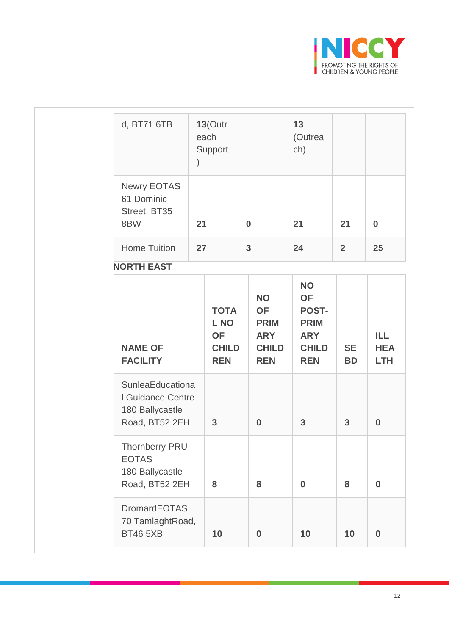

| d, BT71 6TB                                                                | $\big)$ | $13$ (Outr<br>each<br>Support                                  |                |                                                                                   | 13<br>(Outrea<br>ch)                                                                              |                        |                                  |
|----------------------------------------------------------------------------|---------|----------------------------------------------------------------|----------------|-----------------------------------------------------------------------------------|---------------------------------------------------------------------------------------------------|------------------------|----------------------------------|
| Newry EOTAS<br>61 Dominic<br>Street, BT35<br>8BW                           | 21      |                                                                | $\bf{0}$       |                                                                                   | 21                                                                                                | 21                     | $\bf{0}$                         |
| <b>Home Tuition</b>                                                        | 27      |                                                                | $\overline{3}$ |                                                                                   | 24                                                                                                | 2 <sup>1</sup>         | 25                               |
| <b>NORTH EAST</b>                                                          |         |                                                                |                |                                                                                   |                                                                                                   |                        |                                  |
| <b>NAME OF</b><br><b>FACILITY</b>                                          |         | <b>TOTA</b><br>L NO<br><b>OF</b><br><b>CHILD</b><br><b>REN</b> |                | <b>NO</b><br><b>OF</b><br><b>PRIM</b><br><b>ARY</b><br><b>CHILD</b><br><b>REN</b> | <b>NO</b><br><b>OF</b><br><b>POST-</b><br><b>PRIM</b><br><b>ARY</b><br><b>CHILD</b><br><b>REN</b> | <b>SE</b><br><b>BD</b> | ILL.<br><b>HEA</b><br><b>LTH</b> |
| SunleaEducationa<br>I Guidance Centre<br>180 Ballycastle<br>Road, BT52 2EH |         | $\mathbf{3}$                                                   |                | $\bf{0}$                                                                          | $\mathbf{3}$                                                                                      | $\mathbf{3}$           | $\bf{0}$                         |
| <b>Thornberry PRU</b><br><b>EOTAS</b><br>180 Ballycastle<br>Road, BT52 2EH |         | 8                                                              |                | 8                                                                                 | $\bf{0}$                                                                                          | 8                      | $\bf{0}$                         |
| <b>DromardEOTAS</b><br>70 TamlaghtRoad,<br><b>BT46 5XB</b>                 |         | 10                                                             |                | $\bf{0}$                                                                          | 10                                                                                                | 10                     | $\bf{0}$                         |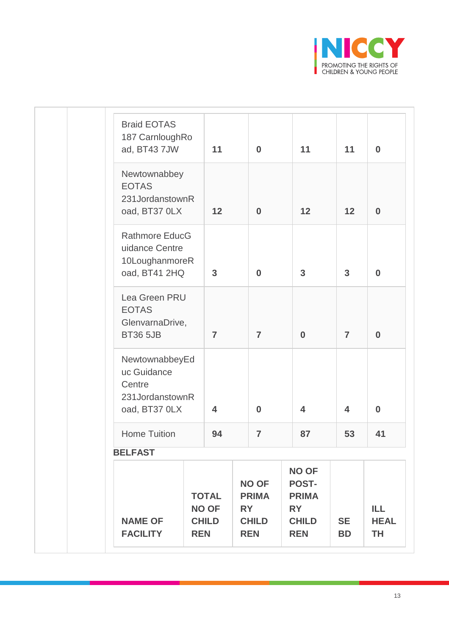

| <b>NAME OF</b><br><b>FACILITY</b>                                                                  | <b>TOTAL</b><br><b>NO OF</b><br><b>CHILD</b><br><b>REN</b> |                               | <b>NO OF</b><br><b>PRIMA</b><br><b>RY</b><br><b>CHILD</b><br><b>REN</b> |                            | <b>NO OF</b><br><b>POST-</b><br><b>PRIMA</b><br><b>RY</b><br><b>CHILD</b><br><b>REN</b> | <b>SE</b><br><b>BD</b>        | ILL.<br><b>HEAL</b><br>TH |
|----------------------------------------------------------------------------------------------------|------------------------------------------------------------|-------------------------------|-------------------------------------------------------------------------|----------------------------|-----------------------------------------------------------------------------------------|-------------------------------|---------------------------|
| <b>BELFAST</b>                                                                                     |                                                            |                               |                                                                         |                            |                                                                                         |                               |                           |
| NewtownabbeyEd<br>uc Guidance<br>Centre<br>231JordanstownR<br>oad, BT37 0LX<br><b>Home Tuition</b> |                                                            | $\overline{\mathbf{4}}$<br>94 |                                                                         | $\bf{0}$<br>$\overline{7}$ | $\overline{\mathbf{4}}$<br>87                                                           | $\overline{\mathbf{4}}$<br>53 | $\boldsymbol{0}$<br>41    |
| Lea Green PRU<br><b>EOTAS</b><br>GlenvarnaDrive,<br><b>BT36 5JB</b>                                |                                                            | $\overline{7}$                |                                                                         | $\overline{7}$             | $\bf{0}$                                                                                | $\overline{7}$                | $\bf{0}$                  |
| <b>Rathmore EducG</b><br>uidance Centre<br>10LoughanmoreR<br>oad, BT41 2HQ                         |                                                            | $\mathbf{3}$                  |                                                                         | $\bf{0}$                   | $\mathbf{3}$                                                                            | $\mathbf{3}$                  | $\boldsymbol{0}$          |
| Newtownabbey<br><b>EOTAS</b><br>231JordanstownR<br>oad, BT37 0LX                                   |                                                            | 12                            |                                                                         | $\bf{0}$                   | 12                                                                                      | 12                            | $\bf{0}$                  |
| <b>Braid EOTAS</b><br>187 CarnloughRo<br>ad, BT43 7JW                                              |                                                            | 11                            |                                                                         | $\bf{0}$                   | 11                                                                                      | 11                            | $\bf{0}$                  |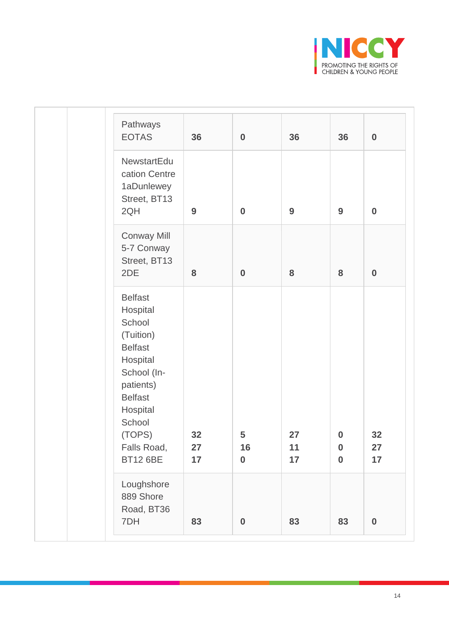

| Pathways<br><b>EOTAS</b>                                                                                                                                                                        | 36             | $\bf{0}$                    | 36             | 36                                       | $\bf{0}$         |
|-------------------------------------------------------------------------------------------------------------------------------------------------------------------------------------------------|----------------|-----------------------------|----------------|------------------------------------------|------------------|
| NewstartEdu<br>cation Centre<br>1aDunlewey<br>Street, BT13<br>2QH                                                                                                                               | 9              | $\bf{0}$                    | 9              | 9                                        | $\bf{0}$         |
| <b>Conway Mill</b><br>5-7 Conway<br>Street, BT13<br>2DE                                                                                                                                         | 8              | $\bf{0}$                    | 8              | 8                                        | $\bf{0}$         |
| <b>Belfast</b><br>Hospital<br>School<br>(Tuition)<br><b>Belfast</b><br>Hospital<br>School (In-<br>patients)<br><b>Belfast</b><br>Hospital<br>School<br>(TOPS)<br>Falls Road,<br><b>BT12 6BE</b> | 32<br>27<br>17 | 5<br>16<br>$\boldsymbol{0}$ | 27<br>11<br>17 | $\bf{0}$<br>$\boldsymbol{0}$<br>$\bf{0}$ | 32<br>27<br>17   |
| Loughshore<br>889 Shore<br>Road, BT36<br>7DH                                                                                                                                                    | 83             | $\bf{0}$                    | 83             | 83                                       | $\boldsymbol{0}$ |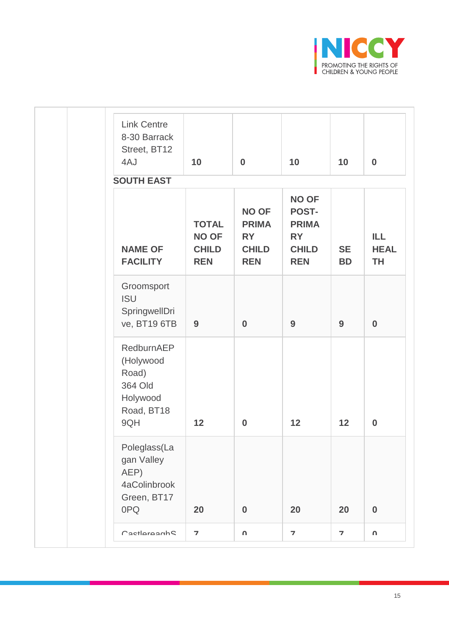

| <b>Link Centre</b><br>8-30 Barrack<br>Street, BT12<br>4AJ                    | 10                                                         | $\bf{0}$                                                                | 10                                                                               | 10                      | $\bf{0}$                         |
|------------------------------------------------------------------------------|------------------------------------------------------------|-------------------------------------------------------------------------|----------------------------------------------------------------------------------|-------------------------|----------------------------------|
| <b>SOUTH EAST</b>                                                            |                                                            |                                                                         |                                                                                  |                         |                                  |
| <b>NAME OF</b><br><b>FACILITY</b>                                            | <b>TOTAL</b><br><b>NO OF</b><br><b>CHILD</b><br><b>REN</b> | <b>NO OF</b><br><b>PRIMA</b><br><b>RY</b><br><b>CHILD</b><br><b>REN</b> | <b>NO OF</b><br>POST-<br><b>PRIMA</b><br><b>RY</b><br><b>CHILD</b><br><b>REN</b> | <b>SE</b><br><b>BD</b>  | ILL.<br><b>HEAL</b><br><b>TH</b> |
| Groomsport<br><b>ISU</b><br>SpringwellDri<br>ve, BT19 6TB                    | 9                                                          | $\bf{0}$                                                                | 9                                                                                | 9                       | $\bf{0}$                         |
| RedburnAEP<br>(Holywood<br>Road)<br>364 Old<br>Holywood<br>Road, BT18<br>9QH | 12                                                         | $\bf{0}$                                                                | 12                                                                               | 12                      | $\bf{0}$                         |
| Poleglass(La<br>gan Valley<br>AEP)<br>4aColinbrook<br>Green, BT17<br>0PQ     | 20                                                         | $\boldsymbol{0}$                                                        | 20                                                                               | 20                      | $\bf{0}$                         |
| PactlaraanhQ                                                                 | $\overline{\mathbf{z}}$                                    | U                                                                       | $\overline{\phantom{a}}$                                                         | $\overline{\mathbf{z}}$ | U                                |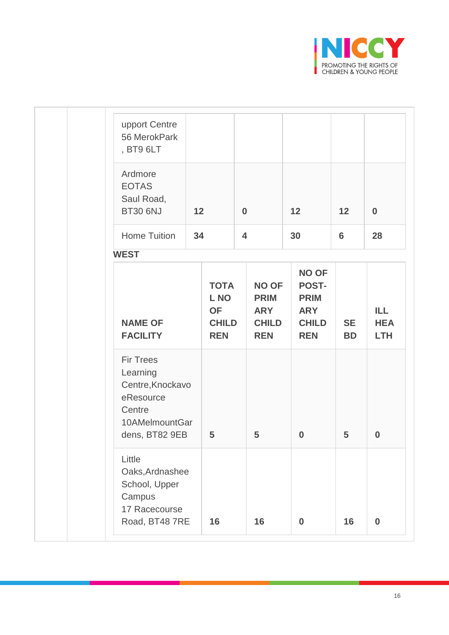

| upport Centre<br>56 MerokPark<br>, BT9 6LT                                                                  |    |                                                                |                                                                         |                                                                                         |                        |                                  |
|-------------------------------------------------------------------------------------------------------------|----|----------------------------------------------------------------|-------------------------------------------------------------------------|-----------------------------------------------------------------------------------------|------------------------|----------------------------------|
| Ardmore<br><b>EOTAS</b><br>Saul Road,<br><b>BT30 6NJ</b>                                                    | 12 |                                                                | $\bf{0}$                                                                | 12                                                                                      | 12                     | $\bf{0}$                         |
| <b>Home Tuition</b>                                                                                         | 34 |                                                                | $\overline{\mathbf{4}}$                                                 | 30                                                                                      | $6\phantom{1}$         | 28                               |
| <b>WEST</b>                                                                                                 |    |                                                                |                                                                         |                                                                                         |                        |                                  |
| <b>NAME OF</b><br><b>FACILITY</b>                                                                           |    | <b>TOTA</b><br>L NO<br><b>OF</b><br><b>CHILD</b><br><b>REN</b> | <b>NO OF</b><br><b>PRIM</b><br><b>ARY</b><br><b>CHILD</b><br><b>REN</b> | <b>NO OF</b><br><b>POST-</b><br><b>PRIM</b><br><b>ARY</b><br><b>CHILD</b><br><b>REN</b> | <b>SE</b><br><b>BD</b> | ILL.<br><b>HEA</b><br><b>LTH</b> |
| <b>Fir Trees</b><br>Learning<br>Centre, Knockavo<br>eResource<br>Centre<br>10AMelmountGar<br>dens, BT82 9EB |    | 5                                                              | 5                                                                       | $\bf{0}$                                                                                | 5                      | $\bf{0}$                         |
| Little<br>Oaks, Ardnashee<br>School, Upper<br>Campus<br>17 Racecourse<br>Road, BT48 7RE                     |    | 16                                                             | 16                                                                      | $\bf{0}$                                                                                | 16                     | $\bf{0}$                         |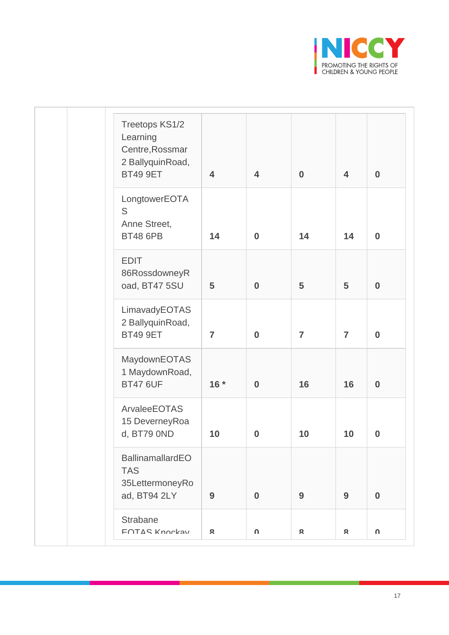

| Treetops KS1/2<br>Learning<br>Centre, Rossmar<br>2 BallyquinRoad,<br><b>BT49 9ET</b> | $\overline{\mathbf{4}}$ | $\overline{\mathbf{4}}$ | $\bf{0}$       | $\overline{\mathbf{4}}$ | $\bf{0}$         |
|--------------------------------------------------------------------------------------|-------------------------|-------------------------|----------------|-------------------------|------------------|
| LongtowerEOTA<br>S<br>Anne Street,<br><b>BT48 6PB</b>                                | 14                      | $\bf{0}$                | 14             | 14                      | $\bf{0}$         |
| <b>EDIT</b><br>86RossdowneyR<br>oad, BT47 5SU                                        | 5                       | $\bf{0}$                | 5              | 5                       | $\bf{0}$         |
| LimavadyEOTAS<br>2 BallyquinRoad,<br><b>BT49 9ET</b>                                 | $\overline{7}$          | $\bf{0}$                | $\overline{7}$ | $\overline{7}$          | $\bf{0}$         |
| MaydownEOTAS<br>1 MaydownRoad,<br><b>BT47 6UF</b>                                    | $16*$                   | $\bf{0}$                | 16             | 16                      | $\bf{0}$         |
| ArvaleeEOTAS<br>15 DeverneyRoa<br>d, BT79 0ND                                        | 10                      | $\boldsymbol{0}$        | 10             | 10                      | $\boldsymbol{0}$ |
| BallinamallardEO<br><b>TAS</b><br>35LettermoneyRo<br>ad, BT94 2LY                    | 9                       | $\bf{0}$                | 9              | 9                       | $\bf{0}$         |
| <b>Strabane</b><br>FOTAS Knockav                                                     | Ջ                       | U                       | $\mathbf{R}$   | Ջ                       | U                |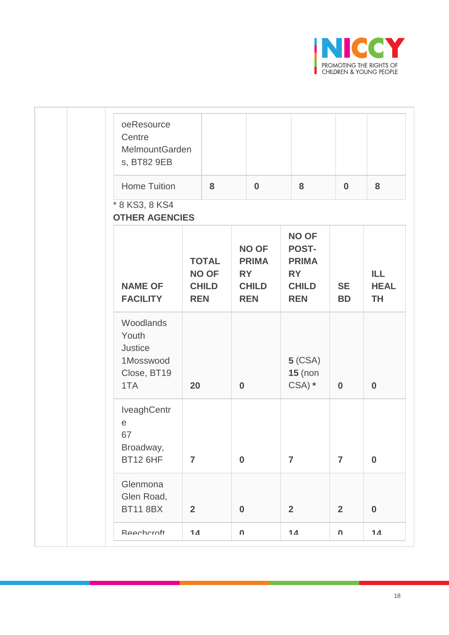

| oeResource<br>Centre<br>MelmountGarden<br>s, BT82 9EB                      |                |                                              |              |                                                                         |                                                                                  |                        |                                  |
|----------------------------------------------------------------------------|----------------|----------------------------------------------|--------------|-------------------------------------------------------------------------|----------------------------------------------------------------------------------|------------------------|----------------------------------|
| <b>Home Tuition</b>                                                        |                | 8                                            |              | $\bf{0}$                                                                | 8                                                                                | $\bf{0}$               | 8                                |
| * 8 KS3, 8 KS4<br><b>OTHER AGENCIES</b>                                    |                |                                              |              |                                                                         |                                                                                  |                        |                                  |
| <b>NAME OF</b><br><b>FACILITY</b>                                          | <b>REN</b>     | <b>TOTAL</b><br><b>NO OF</b><br><b>CHILD</b> |              | <b>NO OF</b><br><b>PRIMA</b><br><b>RY</b><br><b>CHILD</b><br><b>REN</b> | <b>NO OF</b><br>POST-<br><b>PRIMA</b><br><b>RY</b><br><b>CHILD</b><br><b>REN</b> | <b>SE</b><br><b>BD</b> | ILL.<br><b>HEAL</b><br><b>TH</b> |
| Woodlands<br>Youth<br><b>Justice</b><br>1Mosswood<br>Close, BT19<br>1TA    | 20             |                                              | $\bf{0}$     |                                                                         | $5$ (CSA)<br>$15$ (non<br>$CSA)$ *                                               | $\bf{0}$               | $\bf{0}$                         |
| IveaghCentr<br>$\mathop{\mathrm{e}}$<br>67<br>Broadway,<br><b>BT12 6HF</b> | $\overline{7}$ |                                              | $\bf{0}$     |                                                                         | $\overline{7}$                                                                   | $\overline{7}$         | $\bf{0}$                         |
| Glenmona<br>Glen Road,<br><b>BT11 8BX</b>                                  | $\overline{2}$ |                                              | $\bf{0}$     |                                                                         | $\overline{2}$                                                                   | $\overline{2}$         | $\bf{0}$                         |
| Reecharcht                                                                 | 14             |                                              | $\pmb{\cap}$ |                                                                         | 14                                                                               | $\mathbf n$            | 14                               |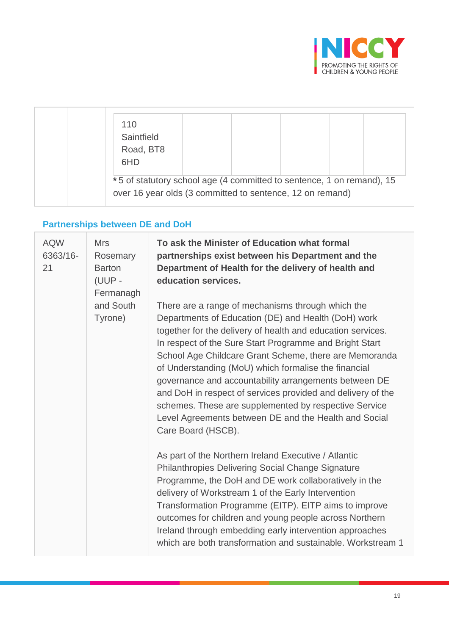

| 110<br>Saintfield<br>Road, BT8<br>6HD                                                                                              |  |  |  |
|------------------------------------------------------------------------------------------------------------------------------------|--|--|--|
| *5 of statutory school age (4 committed to sentence, 1 on remand), 15<br>over 16 year olds (3 committed to sentence, 12 on remand) |  |  |  |

# **Partnerships between DE and DoH**

| <b>AQW</b><br>6363/16-<br>21 | <b>Mrs</b><br>Rosemary<br><b>Barton</b><br>(UUP -<br>Fermanagh | To ask the Minister of Education what formal<br>partnerships exist between his Department and the<br>Department of Health for the delivery of health and<br>education services.                                                                                                                                                                                                                                                                                                                                                                                                                                                                                                                                                                                                                                                                                                                                                                                                                                                                                                                      |
|------------------------------|----------------------------------------------------------------|------------------------------------------------------------------------------------------------------------------------------------------------------------------------------------------------------------------------------------------------------------------------------------------------------------------------------------------------------------------------------------------------------------------------------------------------------------------------------------------------------------------------------------------------------------------------------------------------------------------------------------------------------------------------------------------------------------------------------------------------------------------------------------------------------------------------------------------------------------------------------------------------------------------------------------------------------------------------------------------------------------------------------------------------------------------------------------------------------|
|                              | and South<br>Tyrone)                                           | There are a range of mechanisms through which the<br>Departments of Education (DE) and Health (DoH) work<br>together for the delivery of health and education services.<br>In respect of the Sure Start Programme and Bright Start<br>School Age Childcare Grant Scheme, there are Memoranda<br>of Understanding (MoU) which formalise the financial<br>governance and accountability arrangements between DE<br>and DoH in respect of services provided and delivery of the<br>schemes. These are supplemented by respective Service<br>Level Agreements between DE and the Health and Social<br>Care Board (HSCB).<br>As part of the Northern Ireland Executive / Atlantic<br><b>Philanthropies Delivering Social Change Signature</b><br>Programme, the DoH and DE work collaboratively in the<br>delivery of Workstream 1 of the Early Intervention<br>Transformation Programme (EITP). EITP aims to improve<br>outcomes for children and young people across Northern<br>Ireland through embedding early intervention approaches<br>which are both transformation and sustainable. Workstream 1 |
|                              |                                                                |                                                                                                                                                                                                                                                                                                                                                                                                                                                                                                                                                                                                                                                                                                                                                                                                                                                                                                                                                                                                                                                                                                      |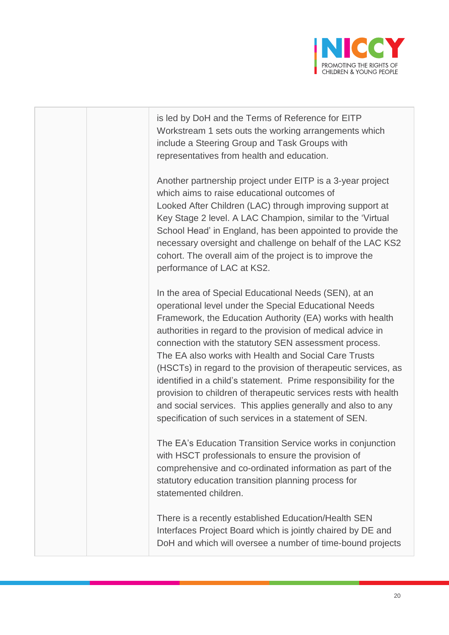

is led by DoH and the Terms of Reference for EITP Workstream 1 sets outs the working arrangements which include a Steering Group and Task Groups with representatives from health and education.

Another partnership project under EITP is a 3-year project which aims to raise educational outcomes of Looked After Children (LAC) through improving support at Key Stage 2 level. A LAC Champion, similar to the 'Virtual School Head' in England, has been appointed to provide the necessary oversight and challenge on behalf of the LAC KS2 cohort. The overall aim of the project is to improve the performance of LAC at KS2.

In the area of Special Educational Needs (SEN), at an operational level under the Special Educational Needs Framework, the Education Authority (EA) works with health authorities in regard to the provision of medical advice in connection with the statutory SEN assessment process. The EA also works with Health and Social Care Trusts (HSCTs) in regard to the provision of therapeutic services, as identified in a child's statement. Prime responsibility for the provision to children of therapeutic services rests with health and social services. This applies generally and also to any specification of such services in a statement of SEN.

The EA's Education Transition Service works in conjunction with HSCT professionals to ensure the provision of comprehensive and co-ordinated information as part of the statutory education transition planning process for statemented children.

There is a recently established Education/Health SEN Interfaces Project Board which is jointly chaired by DE and DoH and which will oversee a number of time-bound projects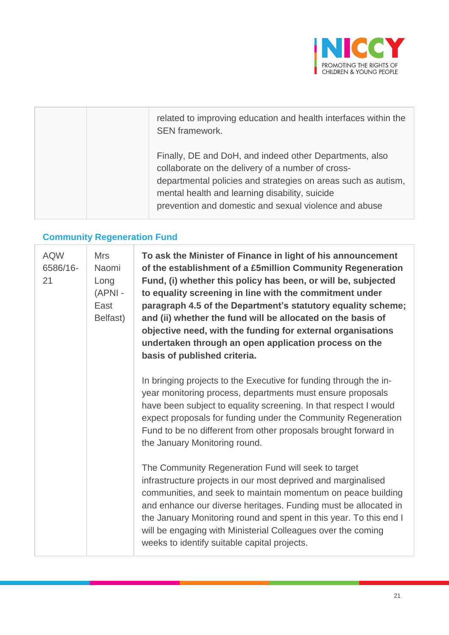

| related to improving education and health interfaces within the<br>SEN framework.                                                                                                                                                                                                        |
|------------------------------------------------------------------------------------------------------------------------------------------------------------------------------------------------------------------------------------------------------------------------------------------|
| Finally, DE and DoH, and indeed other Departments, also<br>collaborate on the delivery of a number of cross-<br>departmental policies and strategies on areas such as autism,<br>mental health and learning disability, suicide<br>prevention and domestic and sexual violence and abuse |

## **Community Regeneration Fund**

| <b>AQW</b><br>6586/16-<br>21 | <b>Mrs</b><br>Naomi<br>Long<br>(APNI -<br>East<br>Belfast) | To ask the Minister of Finance in light of his announcement<br>of the establishment of a £5million Community Regeneration<br>Fund, (i) whether this policy has been, or will be, subjected<br>to equality screening in line with the commitment under<br>paragraph 4.5 of the Department's statutory equality scheme;<br>and (ii) whether the fund will be allocated on the basis of<br>objective need, with the funding for external organisations<br>undertaken through an open application process on the<br>basis of published criteria. |
|------------------------------|------------------------------------------------------------|----------------------------------------------------------------------------------------------------------------------------------------------------------------------------------------------------------------------------------------------------------------------------------------------------------------------------------------------------------------------------------------------------------------------------------------------------------------------------------------------------------------------------------------------|
|                              |                                                            | In bringing projects to the Executive for funding through the in-<br>year monitoring process, departments must ensure proposals<br>have been subject to equality screening. In that respect I would<br>expect proposals for funding under the Community Regeneration<br>Fund to be no different from other proposals brought forward in<br>the January Monitoring round.                                                                                                                                                                     |
|                              |                                                            | The Community Regeneration Fund will seek to target<br>infrastructure projects in our most deprived and marginalised<br>communities, and seek to maintain momentum on peace building<br>and enhance our diverse heritages. Funding must be allocated in<br>the January Monitoring round and spent in this year. To this end I<br>will be engaging with Ministerial Colleagues over the coming<br>weeks to identify suitable capital projects.                                                                                                |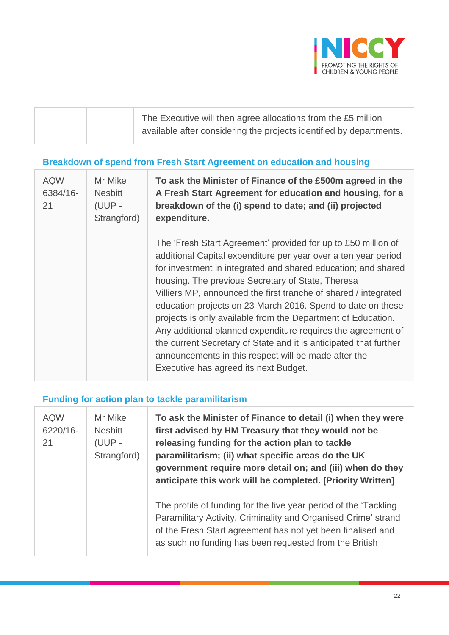

| The Executive will then agree allocations from the £5 million       |
|---------------------------------------------------------------------|
| available after considering the projects identified by departments. |

## **Breakdown of spend from Fresh Start Agreement on education and housing**

| <b>AQW</b><br>6384/16-<br>21 | Mr Mike<br><b>Nesbitt</b><br>(UUP -<br>Strangford) | To ask the Minister of Finance of the £500m agreed in the<br>A Fresh Start Agreement for education and housing, for a<br>breakdown of the (i) spend to date; and (ii) projected<br>expenditure.                                                                                                                                                                                                                                                                                                                                                                                                                                                                                               |
|------------------------------|----------------------------------------------------|-----------------------------------------------------------------------------------------------------------------------------------------------------------------------------------------------------------------------------------------------------------------------------------------------------------------------------------------------------------------------------------------------------------------------------------------------------------------------------------------------------------------------------------------------------------------------------------------------------------------------------------------------------------------------------------------------|
|                              |                                                    | The 'Fresh Start Agreement' provided for up to £50 million of<br>additional Capital expenditure per year over a ten year period<br>for investment in integrated and shared education; and shared<br>housing. The previous Secretary of State, Theresa<br>Villiers MP, announced the first tranche of shared / integrated<br>education projects on 23 March 2016. Spend to date on these<br>projects is only available from the Department of Education.<br>Any additional planned expenditure requires the agreement of<br>the current Secretary of State and it is anticipated that further<br>announcements in this respect will be made after the<br>Executive has agreed its next Budget. |

### **Funding for action plan to tackle paramilitarism**

| <b>AQW</b><br>6220/16-<br>21 | Mr Mike<br><b>Nesbitt</b><br>(UUP -<br>Strangford) | To ask the Minister of Finance to detail (i) when they were<br>first advised by HM Treasury that they would not be<br>releasing funding for the action plan to tackle<br>paramilitarism; (ii) what specific areas do the UK<br>government require more detail on; and (iii) when do they<br>anticipate this work will be completed. [Priority Written] |
|------------------------------|----------------------------------------------------|--------------------------------------------------------------------------------------------------------------------------------------------------------------------------------------------------------------------------------------------------------------------------------------------------------------------------------------------------------|
|                              |                                                    | The profile of funding for the five year period of the 'Tackling'<br>Paramilitary Activity, Criminality and Organised Crime' strand<br>of the Fresh Start agreement has not yet been finalised and<br>as such no funding has been requested from the British                                                                                           |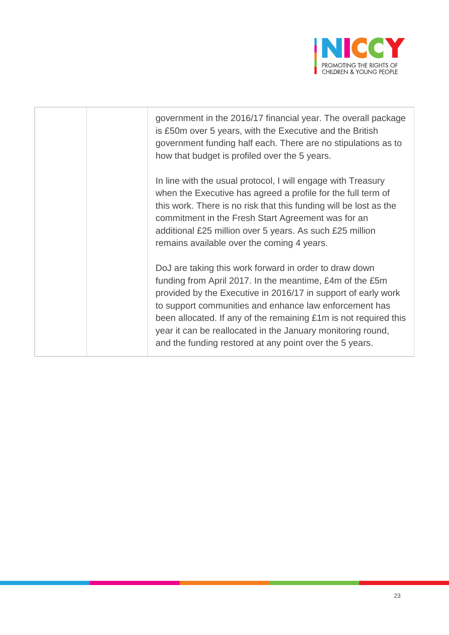

government in the 2016/17 financial year. The overall package is £50m over 5 years, with the Executive and the British government funding half each. There are no stipulations as to how that budget is profiled over the 5 years.

In line with the usual protocol, I will engage with Treasury when the Executive has agreed a profile for the full term of this work. There is no risk that this funding will be lost as the commitment in the Fresh Start Agreement was for an additional £25 million over 5 years. As such £25 million remains available over the coming 4 years.

DoJ are taking this work forward in order to draw down funding from April 2017. In the meantime, £4m of the £5m provided by the Executive in 2016/17 in support of early work to support communities and enhance law enforcement has been allocated. If any of the remaining £1m is not required this year it can be reallocated in the January monitoring round, and the funding restored at any point over the 5 years.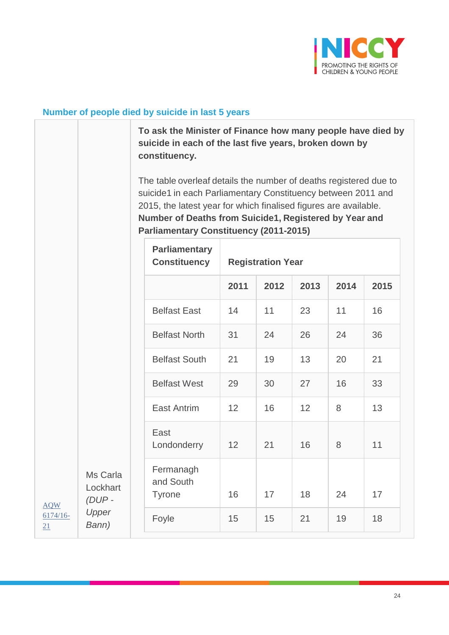

### **Number of people died by suicide in last 5 years**

[AQW](javascript:__doPostBack() [6174/16-](javascript:__doPostBack() [21](javascript:__doPostBack()

**To ask the Minister of Finance how many people have died by suicide in each of the last five years, broken down by constituency.**

The table overleaf details the number of deaths registered due to suicide1 in each Parliamentary Constituency between 2011 and 2015, the latest year for which finalised figures are available. **Number of Deaths from Suicide1, Registered by Year and Parliamentary Constituency (2011-2015)**

|                                  | <b>Parliamentary</b><br><b>Constituency</b> | <b>Registration Year</b> |      |                 |      |      |  |  |
|----------------------------------|---------------------------------------------|--------------------------|------|-----------------|------|------|--|--|
|                                  |                                             | 2011                     | 2012 | 2013            | 2014 | 2015 |  |  |
|                                  | <b>Belfast East</b>                         | 14                       | 11   | 23              | 11   | 16   |  |  |
|                                  | <b>Belfast North</b>                        | 31                       | 24   | 26              | 24   | 36   |  |  |
|                                  | <b>Belfast South</b>                        | 21                       | 19   | 13              | 20   | 21   |  |  |
|                                  | <b>Belfast West</b>                         | 29                       | 30   | 27              | 16   | 33   |  |  |
|                                  | <b>East Antrim</b>                          | 12                       | 16   | 12 <sup>2</sup> | 8    | 13   |  |  |
|                                  | East<br>Londonderry                         | 12                       | 21   | 16              | 8    | 11   |  |  |
| Ms Carla<br>Lockhart<br>$(DUP -$ | Fermanagh<br>and South<br><b>Tyrone</b>     | 16                       | 17   | 18              | 24   | 17   |  |  |
| Upper<br>Bann)                   | Foyle                                       | 15                       | 15   | 21              | 19   | 18   |  |  |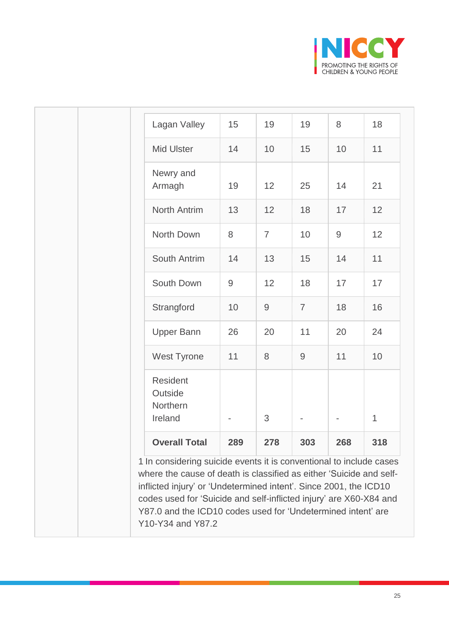

| Lagan Valley                                                                                                                                                                                                                                                                                                                                          | 15    | 19             | 19             | 8            | 18  |
|-------------------------------------------------------------------------------------------------------------------------------------------------------------------------------------------------------------------------------------------------------------------------------------------------------------------------------------------------------|-------|----------------|----------------|--------------|-----|
| <b>Mid Ulster</b>                                                                                                                                                                                                                                                                                                                                     | 14    | 10             | 15             | 10           | 11  |
| Newry and<br>Armagh                                                                                                                                                                                                                                                                                                                                   | 19    | 12             | 25             | 14           | 21  |
| <b>North Antrim</b>                                                                                                                                                                                                                                                                                                                                   | 13    | 12             | 18             | 17           | 12  |
| North Down                                                                                                                                                                                                                                                                                                                                            | 8     | $\overline{7}$ | 10             | $\mathsf{9}$ | 12  |
| South Antrim                                                                                                                                                                                                                                                                                                                                          | 14    | 13             | 15             | 14           | 11  |
| South Down                                                                                                                                                                                                                                                                                                                                            | $9\,$ | 12             | 18             | 17           | 17  |
| Strangford                                                                                                                                                                                                                                                                                                                                            | 10    | $\mathsf 9$    | $\overline{7}$ | 18           | 16  |
| <b>Upper Bann</b>                                                                                                                                                                                                                                                                                                                                     | 26    | 20             | 11             | 20           | 24  |
| West Tyrone                                                                                                                                                                                                                                                                                                                                           | 11    | $8\,$          | $\mathsf{9}$   | 11           | 10  |
| <b>Resident</b><br>Outside<br>Northern<br>Ireland                                                                                                                                                                                                                                                                                                     |       | 3              |                |              | 1   |
| <b>Overall Total</b>                                                                                                                                                                                                                                                                                                                                  | 289   | 278            | 303            | 268          | 318 |
| 1 In considering suicide events it is conventional to include cases<br>where the cause of death is classified as either 'Suicide and self-<br>inflicted injury' or 'Undetermined intent'. Since 2001, the ICD10<br>codes used for 'Suicide and self-inflicted injury' are X60-X84 and<br>Y87.0 and the ICD10 codes used for 'Undetermined intent' are |       |                |                |              |     |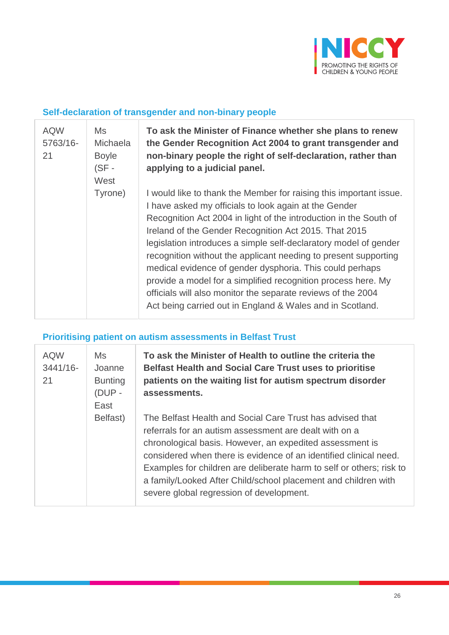

### **Self-declaration of transgender and non-binary people**

| <b>AQW</b><br>5763/16-<br>21 | Ms<br>Michaela<br><b>Boyle</b><br>$(SF -$<br>West | To ask the Minister of Finance whether she plans to renew<br>the Gender Recognition Act 2004 to grant transgender and<br>non-binary people the right of self-declaration, rather than<br>applying to a judicial panel.                                                                                                                                                                                                                                                                                                                                                                                                                                     |
|------------------------------|---------------------------------------------------|------------------------------------------------------------------------------------------------------------------------------------------------------------------------------------------------------------------------------------------------------------------------------------------------------------------------------------------------------------------------------------------------------------------------------------------------------------------------------------------------------------------------------------------------------------------------------------------------------------------------------------------------------------|
|                              | Tyrone)                                           | I would like to thank the Member for raising this important issue.<br>I have asked my officials to look again at the Gender<br>Recognition Act 2004 in light of the introduction in the South of<br>Ireland of the Gender Recognition Act 2015. That 2015<br>legislation introduces a simple self-declaratory model of gender<br>recognition without the applicant needing to present supporting<br>medical evidence of gender dysphoria. This could perhaps<br>provide a model for a simplified recognition process here. My<br>officials will also monitor the separate reviews of the 2004<br>Act being carried out in England & Wales and in Scotland. |

## **Prioritising patient on autism assessments in Belfast Trust**

| <b>AQW</b><br>$3441/16$ -<br>21 | <b>Ms</b><br>Joanne<br><b>Bunting</b><br>$(DUP -$<br>East | To ask the Minister of Health to outline the criteria the<br><b>Belfast Health and Social Care Trust uses to prioritise</b><br>patients on the waiting list for autism spectrum disorder<br>assessments.                                                                                                                                                                                                                                   |  |  |
|---------------------------------|-----------------------------------------------------------|--------------------------------------------------------------------------------------------------------------------------------------------------------------------------------------------------------------------------------------------------------------------------------------------------------------------------------------------------------------------------------------------------------------------------------------------|--|--|
|                                 | Belfast)                                                  | The Belfast Health and Social Care Trust has advised that<br>referrals for an autism assessment are dealt with on a<br>chronological basis. However, an expedited assessment is<br>considered when there is evidence of an identified clinical need.<br>Examples for children are deliberate harm to self or others; risk to<br>a family/Looked After Child/school placement and children with<br>severe global regression of development. |  |  |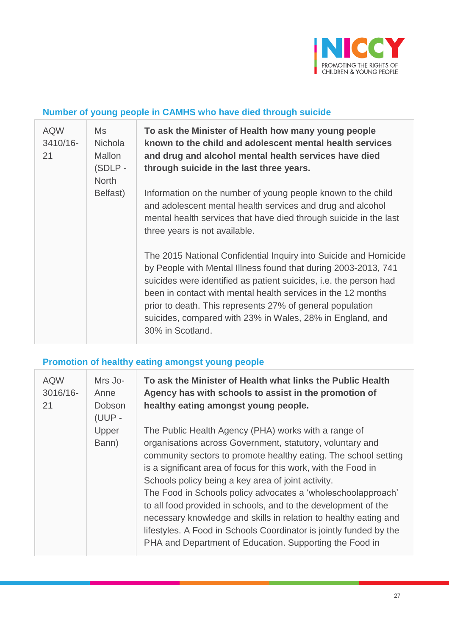

### **Number of young people in CAMHS who have died through suicide**

| <b>AQW</b><br>3410/16-<br>21 | <b>Ms</b><br><b>Nichola</b><br><b>Mallon</b><br>(SDLP-<br><b>North</b> | To ask the Minister of Health how many young people<br>known to the child and adolescent mental health services<br>and drug and alcohol mental health services have died<br>through suicide in the last three years.                                                                                                                                                                                                  |
|------------------------------|------------------------------------------------------------------------|-----------------------------------------------------------------------------------------------------------------------------------------------------------------------------------------------------------------------------------------------------------------------------------------------------------------------------------------------------------------------------------------------------------------------|
|                              | Belfast)                                                               | Information on the number of young people known to the child<br>and adolescent mental health services and drug and alcohol<br>mental health services that have died through suicide in the last<br>three years is not available.                                                                                                                                                                                      |
|                              |                                                                        | The 2015 National Confidential Inquiry into Suicide and Homicide<br>by People with Mental Illness found that during 2003-2013, 741<br>suicides were identified as patient suicides, i.e. the person had<br>been in contact with mental health services in the 12 months<br>prior to death. This represents 27% of general population<br>suicides, compared with 23% in Wales, 28% in England, and<br>30% in Scotland. |

## **Promotion of healthy eating amongst young people**

| <b>AQW</b><br>3016/16-<br>21 | Mrs Jo-<br>Anne<br>Dobson<br>(UUP - | To ask the Minister of Health what links the Public Health<br>Agency has with schools to assist in the promotion of<br>healthy eating amongst young people.                                                                                                                                                                                                                                                                                                                                                                                                                                                                                         |
|------------------------------|-------------------------------------|-----------------------------------------------------------------------------------------------------------------------------------------------------------------------------------------------------------------------------------------------------------------------------------------------------------------------------------------------------------------------------------------------------------------------------------------------------------------------------------------------------------------------------------------------------------------------------------------------------------------------------------------------------|
|                              | Upper<br>Bann)                      | The Public Health Agency (PHA) works with a range of<br>organisations across Government, statutory, voluntary and<br>community sectors to promote healthy eating. The school setting<br>is a significant area of focus for this work, with the Food in<br>Schools policy being a key area of joint activity.<br>The Food in Schools policy advocates a 'wholeschoolapproach'<br>to all food provided in schools, and to the development of the<br>necessary knowledge and skills in relation to healthy eating and<br>lifestyles. A Food in Schools Coordinator is jointly funded by the<br>PHA and Department of Education. Supporting the Food in |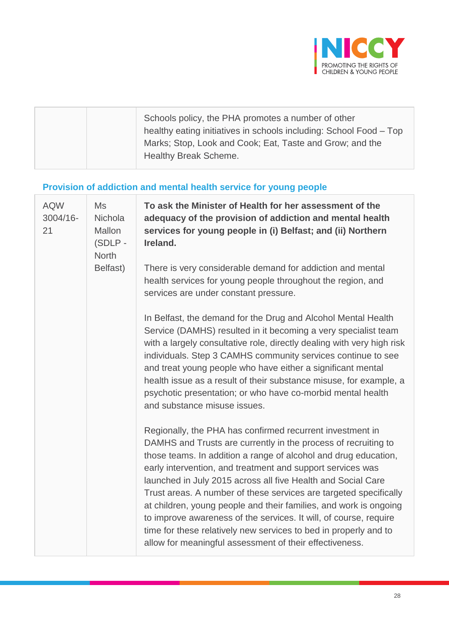

# **Provision of addiction and mental health service for young people**

| <b>AQW</b><br>3004/16-<br>21 | Ms<br>Nichola<br>Mallon<br>(SDLP -<br><b>North</b> | To ask the Minister of Health for her assessment of the<br>adequacy of the provision of addiction and mental health<br>services for young people in (i) Belfast; and (ii) Northern<br>Ireland.                                                                                                                                                                                                                                                                                                                                                                                                                                                                             |
|------------------------------|----------------------------------------------------|----------------------------------------------------------------------------------------------------------------------------------------------------------------------------------------------------------------------------------------------------------------------------------------------------------------------------------------------------------------------------------------------------------------------------------------------------------------------------------------------------------------------------------------------------------------------------------------------------------------------------------------------------------------------------|
|                              | Belfast)                                           | There is very considerable demand for addiction and mental<br>health services for young people throughout the region, and<br>services are under constant pressure.                                                                                                                                                                                                                                                                                                                                                                                                                                                                                                         |
|                              |                                                    | In Belfast, the demand for the Drug and Alcohol Mental Health<br>Service (DAMHS) resulted in it becoming a very specialist team<br>with a largely consultative role, directly dealing with very high risk<br>individuals. Step 3 CAMHS community services continue to see<br>and treat young people who have either a significant mental<br>health issue as a result of their substance misuse, for example, a<br>psychotic presentation; or who have co-morbid mental health<br>and substance misuse issues.                                                                                                                                                              |
|                              |                                                    | Regionally, the PHA has confirmed recurrent investment in<br>DAMHS and Trusts are currently in the process of recruiting to<br>those teams. In addition a range of alcohol and drug education,<br>early intervention, and treatment and support services was<br>launched in July 2015 across all five Health and Social Care<br>Trust areas. A number of these services are targeted specifically<br>at children, young people and their families, and work is ongoing<br>to improve awareness of the services. It will, of course, require<br>time for these relatively new services to bed in properly and to<br>allow for meaningful assessment of their effectiveness. |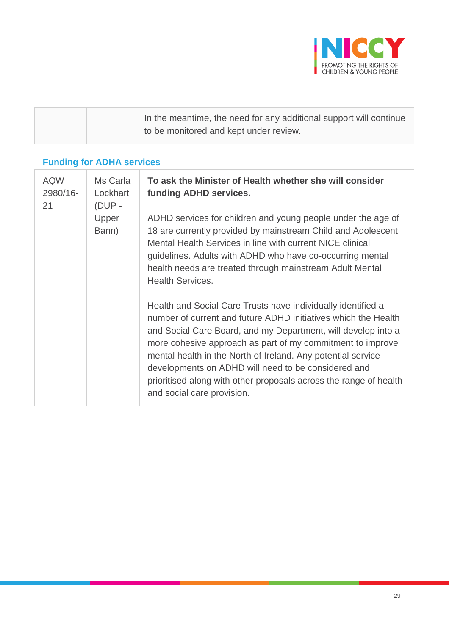

| In the meantime, the need for any additional support will continue |
|--------------------------------------------------------------------|
| to be monitored and kept under review.                             |

## **Funding for ADHA services**

| <b>AQW</b><br>2980/16-<br>21 | Ms Carla<br>Lockhart<br>(DUP - | To ask the Minister of Health whether she will consider<br>funding ADHD services.                                                                                                                                                                                                                                                                                                                                                                                                       |  |  |
|------------------------------|--------------------------------|-----------------------------------------------------------------------------------------------------------------------------------------------------------------------------------------------------------------------------------------------------------------------------------------------------------------------------------------------------------------------------------------------------------------------------------------------------------------------------------------|--|--|
|                              | Upper<br>Bann)                 | ADHD services for children and young people under the age of<br>18 are currently provided by mainstream Child and Adolescent<br>Mental Health Services in line with current NICE clinical<br>guidelines. Adults with ADHD who have co-occurring mental<br>health needs are treated through mainstream Adult Mental<br><b>Health Services.</b>                                                                                                                                           |  |  |
|                              |                                | Health and Social Care Trusts have individually identified a<br>number of current and future ADHD initiatives which the Health<br>and Social Care Board, and my Department, will develop into a<br>more cohesive approach as part of my commitment to improve<br>mental health in the North of Ireland. Any potential service<br>developments on ADHD will need to be considered and<br>prioritised along with other proposals across the range of health<br>and social care provision. |  |  |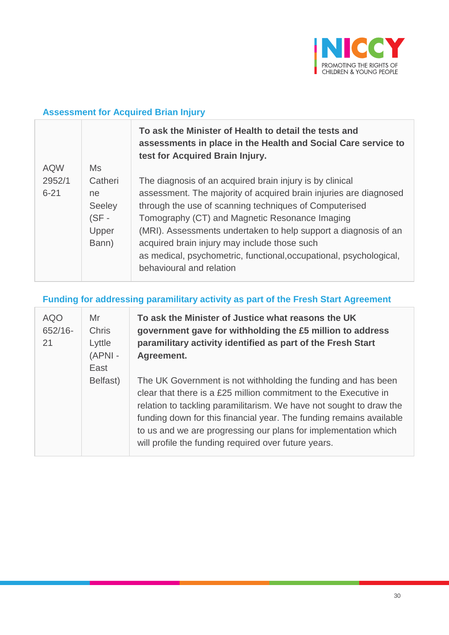

## **Assessment for Acquired Brian Injury**

|            |         | To ask the Minister of Health to detail the tests and<br>assessments in place in the Health and Social Care service to<br>test for Acquired Brain Injury. |
|------------|---------|-----------------------------------------------------------------------------------------------------------------------------------------------------------|
| <b>AQW</b> | Ms      |                                                                                                                                                           |
| 2952/1     | Catheri | The diagnosis of an acquired brain injury is by clinical                                                                                                  |
| $6 - 21$   | ne      | assessment. The majority of acquired brain injuries are diagnosed                                                                                         |
|            | Seeley  | through the use of scanning techniques of Computerised                                                                                                    |
|            | $(SF -$ | Tomography (CT) and Magnetic Resonance Imaging                                                                                                            |
|            | Upper   | (MRI). Assessments undertaken to help support a diagnosis of an                                                                                           |
|            | Bann)   | acquired brain injury may include those such                                                                                                              |
|            |         | as medical, psychometric, functional, occupational, psychological,                                                                                        |
|            |         | behavioural and relation                                                                                                                                  |

## **Funding for addressing paramilitary activity as part of the Fresh Start Agreement**

| <b>AQO</b><br>$652/16 -$<br>21 | Mr<br><b>Chris</b><br>Lyttle<br>(APNI -<br>East | To ask the Minister of Justice what reasons the UK<br>government gave for withholding the £5 million to address<br>paramilitary activity identified as part of the Fresh Start<br>Agreement.                                                                                                                                                                                                               |
|--------------------------------|-------------------------------------------------|------------------------------------------------------------------------------------------------------------------------------------------------------------------------------------------------------------------------------------------------------------------------------------------------------------------------------------------------------------------------------------------------------------|
|                                | Belfast)                                        | The UK Government is not withholding the funding and has been<br>clear that there is a £25 million commitment to the Executive in<br>relation to tackling paramilitarism. We have not sought to draw the<br>funding down for this financial year. The funding remains available<br>to us and we are progressing our plans for implementation which<br>will profile the funding required over future years. |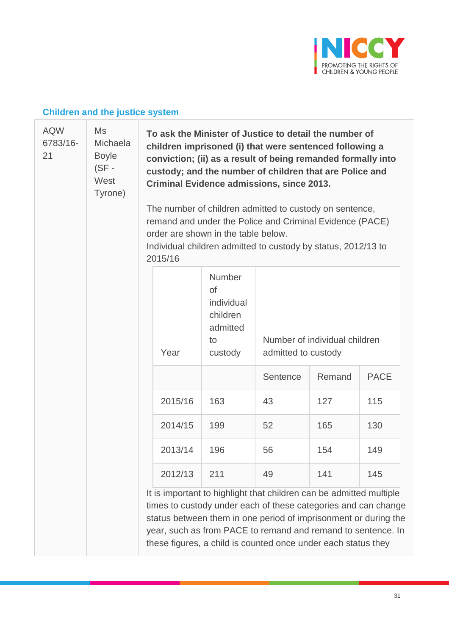

## **Children and the justice system**

| <b>AQW</b><br>6783/16-<br>21 | Ms<br><b>Michaela</b><br><b>Boyle</b><br>$(SF -$<br>West<br>Tyrone) | To ask the Minister of Justice to detail the number of<br>children imprisoned (i) that were sentenced following a<br>conviction; (ii) as a result of being remanded formally into<br>custody; and the number of children that are Police and<br><b>Criminal Evidence admissions, since 2013.</b><br>The number of children admitted to custody on sentence,<br>remand and under the Police and Criminal Evidence (PACE)<br>order are shown in the table below.<br>Individual children admitted to custody by status, 2012/13 to<br>2015/16 |         |                                                                            |                                                                                                                                                                                                                                                                                                                                           |        |             |
|------------------------------|---------------------------------------------------------------------|--------------------------------------------------------------------------------------------------------------------------------------------------------------------------------------------------------------------------------------------------------------------------------------------------------------------------------------------------------------------------------------------------------------------------------------------------------------------------------------------------------------------------------------------|---------|----------------------------------------------------------------------------|-------------------------------------------------------------------------------------------------------------------------------------------------------------------------------------------------------------------------------------------------------------------------------------------------------------------------------------------|--------|-------------|
|                              |                                                                     |                                                                                                                                                                                                                                                                                                                                                                                                                                                                                                                                            | Year    | Number<br><b>of</b><br>individual<br>children<br>admitted<br>to<br>custody | Number of individual children<br>admitted to custody                                                                                                                                                                                                                                                                                      |        |             |
|                              |                                                                     |                                                                                                                                                                                                                                                                                                                                                                                                                                                                                                                                            |         |                                                                            | Sentence                                                                                                                                                                                                                                                                                                                                  | Remand | <b>PACE</b> |
|                              |                                                                     |                                                                                                                                                                                                                                                                                                                                                                                                                                                                                                                                            | 2015/16 | 163                                                                        | 43                                                                                                                                                                                                                                                                                                                                        | 127    | 115         |
|                              |                                                                     |                                                                                                                                                                                                                                                                                                                                                                                                                                                                                                                                            | 2014/15 | 199                                                                        | 52                                                                                                                                                                                                                                                                                                                                        | 165    | 130         |
|                              |                                                                     |                                                                                                                                                                                                                                                                                                                                                                                                                                                                                                                                            | 2013/14 | 196                                                                        | 56                                                                                                                                                                                                                                                                                                                                        | 154    | 149         |
|                              |                                                                     |                                                                                                                                                                                                                                                                                                                                                                                                                                                                                                                                            | 2012/13 | 211                                                                        | 49                                                                                                                                                                                                                                                                                                                                        | 141    | 145         |
|                              |                                                                     |                                                                                                                                                                                                                                                                                                                                                                                                                                                                                                                                            |         |                                                                            | It is important to highlight that children can be admitted multiple<br>times to custody under each of these categories and can change<br>status between them in one period of imprisonment or during the<br>year, such as from PACE to remand and remand to sentence. In<br>these figures, a child is counted once under each status they |        |             |